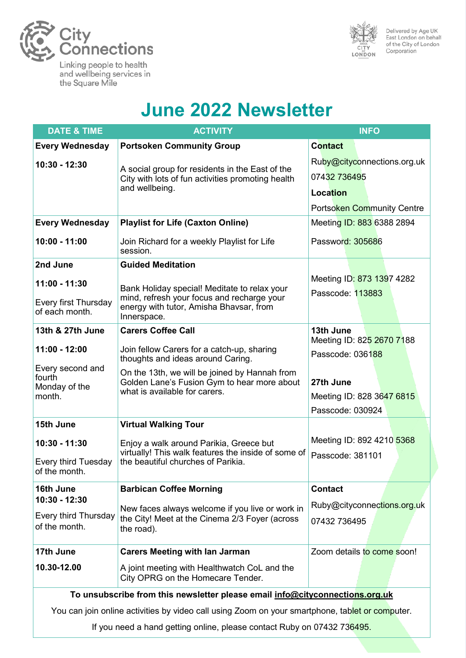

the Square Mile

and wellbeing services in



Delivered by Age UK<br>East London on behalf of the City of London Corporation

# **June 2022 Newsletter**

| <b>DATE &amp; TIME</b>                                                                          | <b>ACTIVITY</b>                                                                                                                                      | <b>INFO</b>                                                                                         |
|-------------------------------------------------------------------------------------------------|------------------------------------------------------------------------------------------------------------------------------------------------------|-----------------------------------------------------------------------------------------------------|
| <b>Every Wednesday</b>                                                                          | <b>Portsoken Community Group</b>                                                                                                                     | <b>Contact</b>                                                                                      |
| 10:30 - 12:30                                                                                   | A social group for residents in the East of the<br>City with lots of fun activities promoting health<br>and wellbeing.                               | Ruby@cityconnections.org.uk<br>07432 736495<br><b>Location</b><br><b>Portsoken Community Centre</b> |
| <b>Every Wednesday</b>                                                                          | <b>Playlist for Life (Caxton Online)</b>                                                                                                             | Meeting ID: 883 6388 2894                                                                           |
| 10:00 - 11:00                                                                                   | Join Richard for a weekly Playlist for Life<br>session.                                                                                              | Password: 305686                                                                                    |
| 2nd June                                                                                        | <b>Guided Meditation</b>                                                                                                                             |                                                                                                     |
| 11:00 - 11:30<br>Every first Thursday<br>of each month.                                         | Bank Holiday special! Meditate to relax your<br>mind, refresh your focus and recharge your<br>energy with tutor, Amisha Bhavsar, from<br>Innerspace. | Meeting ID: 873 1397 4282<br>Passcode: 113883                                                       |
| 13th & 27th June                                                                                | <b>Carers Coffee Call</b>                                                                                                                            | 13th June<br>Meeting ID: 825 2670 7188                                                              |
| 11:00 - 12:00                                                                                   | Join fellow Carers for a catch-up, sharing<br>thoughts and ideas around Caring.                                                                      | Passcode: 036188                                                                                    |
| Every second and<br>fourth<br>Monday of the<br>month.                                           | On the 13th, we will be joined by Hannah from<br>Golden Lane's Fusion Gym to hear more about<br>what is available for carers.                        | 27th June<br>Meeting ID: 828 3647 6815<br>Passcode: 030924                                          |
| 15th June                                                                                       | <b>Virtual Walking Tour</b>                                                                                                                          |                                                                                                     |
| 10:30 - 11:30<br>Every third Tuesday<br>of the month                                            | Enjoy a walk around Parikia, Greece but<br>virtually! This walk features the inside of some of<br>the beautiful churches of Parikia.                 | Meeting ID: 892 4210 5368<br>Passcode: 381101                                                       |
| 16th June                                                                                       | <b>Barbican Coffee Morning</b>                                                                                                                       | <b>Contact</b>                                                                                      |
| 10:30 - 12:30<br>Every third Thursday<br>of the month.                                          | New faces always welcome if you live or work in<br>the City! Meet at the Cinema 2/3 Foyer (across<br>the road).                                      | Ruby@cityconnections.org.uk<br>07432 736495                                                         |
| 17th June                                                                                       | <b>Carers Meeting with lan Jarman</b>                                                                                                                | Zoom details to come soon!                                                                          |
| 10.30-12.00                                                                                     | A joint meeting with Healthwatch CoL and the<br>City OPRG on the Homecare Tender.                                                                    |                                                                                                     |
| To unsubscribe from this newsletter please email info@cityconnections.org.uk                    |                                                                                                                                                      |                                                                                                     |
| You can join online activities by video call using Zoom on your smartphone, tablet or computer. |                                                                                                                                                      |                                                                                                     |

If you need a hand getting online, please contact Ruby on 07432 736495.